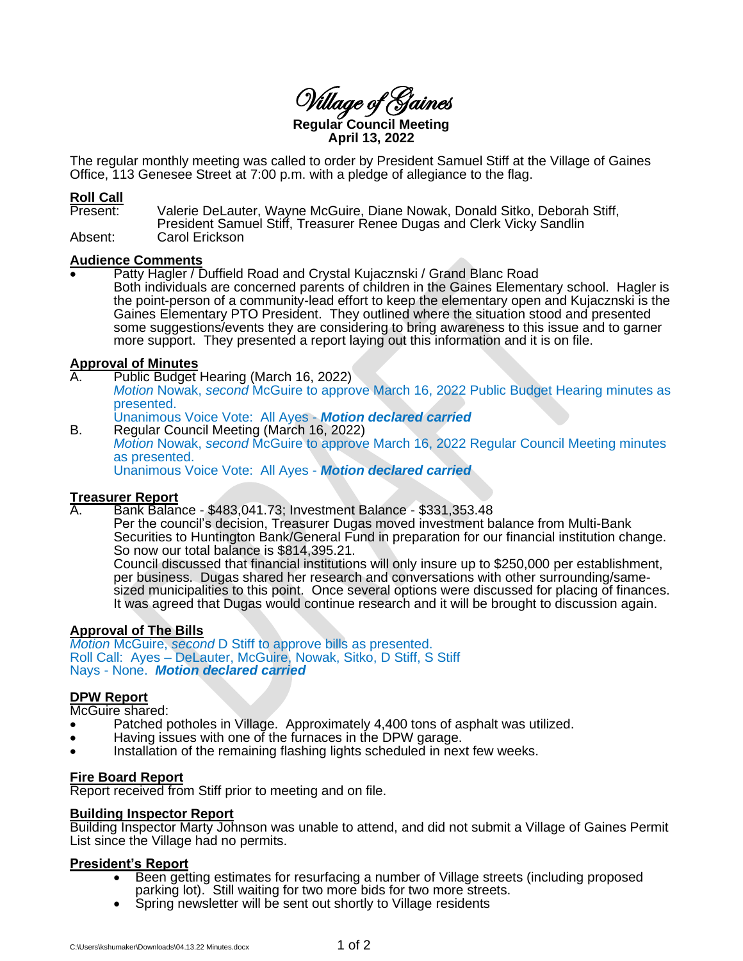Village of Gaines **Regular Council Meeting**

**April 13, 2022**

The regular monthly meeting was called to order by President Samuel Stiff at the Village of Gaines Office, 113 Genesee Street at 7:00 p.m. with a pledge of allegiance to the flag.

#### **Roll Call**

Present: Valerie DeLauter, Wayne McGuire, Diane Nowak, Donald Sitko, Deborah Stiff, President Samuel Stiff, Treasurer Renee Dugas and Clerk Vicky Sandlin

Absent: Carol Erickson

#### **Audience Comments**

Patty Hagler / Duffield Road and Crystal Kujacznski / Grand Blanc Road Both individuals are concerned parents of children in the Gaines Elementary school. Hagler is the point-person of a community-lead effort to keep the elementary open and Kujacznski is the Gaines Elementary PTO President. They outlined where the situation stood and presented some suggestions/events they are considering to bring awareness to this issue and to garner more support. They presented a report laying out this information and it is on file.

# **Approval of Minutes**

- Public Budget Hearing (March 16, 2022) *Motion* Nowak, *second* McGuire to approve March 16, 2022 Public Budget Hearing minutes as presented. Unanimous Voice Vote: All Ayes - *Motion declared carried*
- B. Regular Council Meeting (March 16, 2022) *Motion* Nowak, *second* McGuire to approve March 16, 2022 Regular Council Meeting minutes as presented. Unanimous Voice Vote: All Ayes - *Motion declared carried*

# **Treasurer Report**<br>A Bank Balan

A. Bank Balance - \$483,041.73; Investment Balance - \$331,353.48

Per the council's decision, Treasurer Dugas moved investment balance from Multi-Bank Securities to Huntington Bank/General Fund in preparation for our financial institution change. So now our total balance is \$814,395.21.

Council discussed that financial institutions will only insure up to \$250,000 per establishment, per business. Dugas shared her research and conversations with other surrounding/samesized municipalities to this point. Once several options were discussed for placing of finances. It was agreed that Dugas would continue research and it will be brought to discussion again.

# **Approval of The Bills**

*Motion* McGuire, *second* D Stiff to approve bills as presented. Roll Call: Ayes – DeLauter, McGuire, Nowak, Sitko, D Stiff, S Stiff Nays - None. *Motion declared carried*

#### **DPW Report**

McGuire shared:

- Patched potholes in Village. Approximately 4,400 tons of asphalt was utilized.
- Having issues with one of the furnaces in the DPW garage.
- Installation of the remaining flashing lights scheduled in next few weeks.

## **Fire Board Report**

Report received from Stiff prior to meeting and on file.

#### **Building Inspector Report**

Building Inspector Marty Johnson was unable to attend, and did not submit a Village of Gaines Permit List since the Village had no permits.

## **President's Report**

- Been getting estimates for resurfacing a number of Village streets (including proposed parking lot). Still waiting for two more bids for two more streets.
- Spring newsletter will be sent out shortly to Village residents